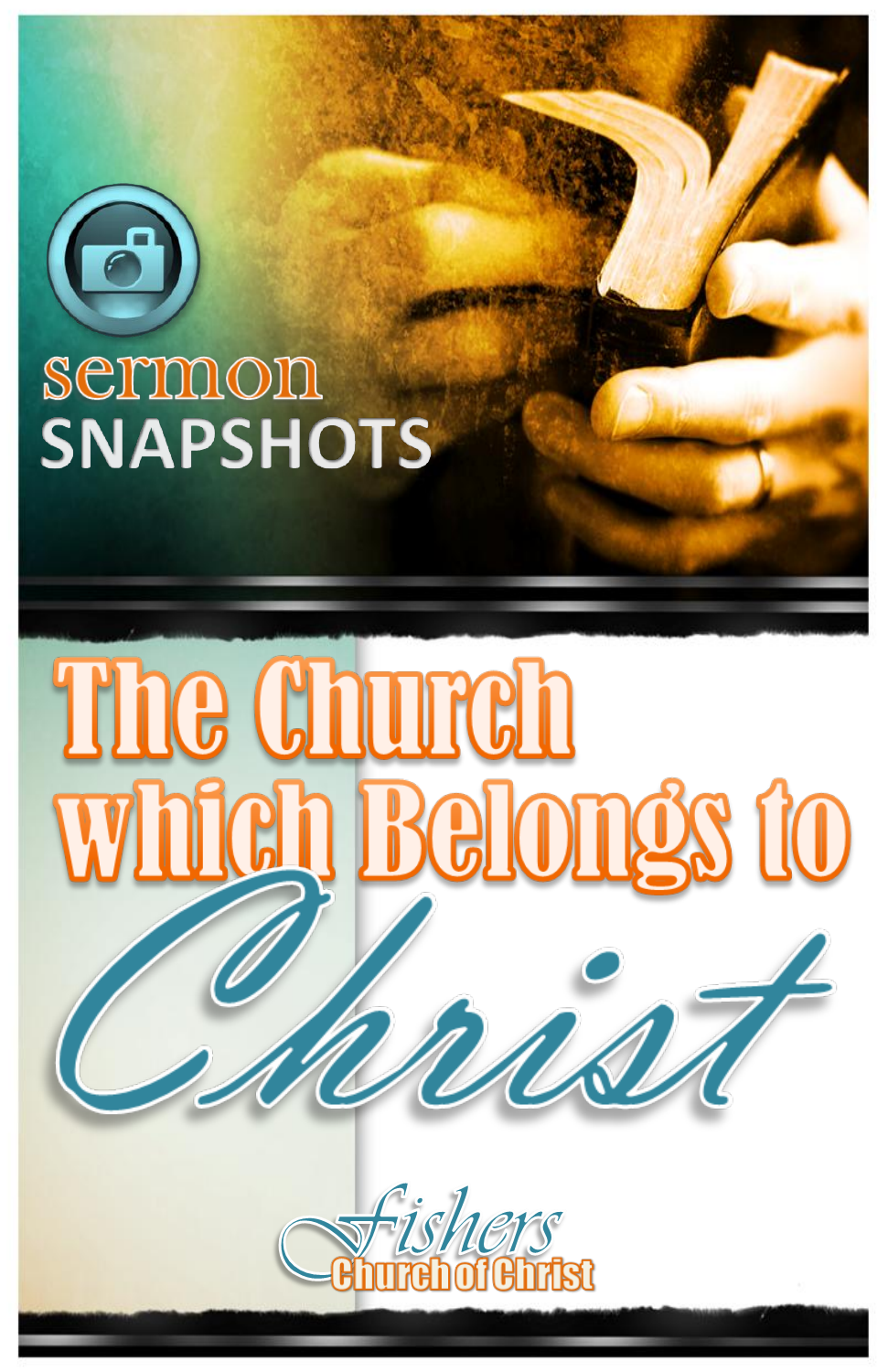

# semmon **SNAPSHOTS**

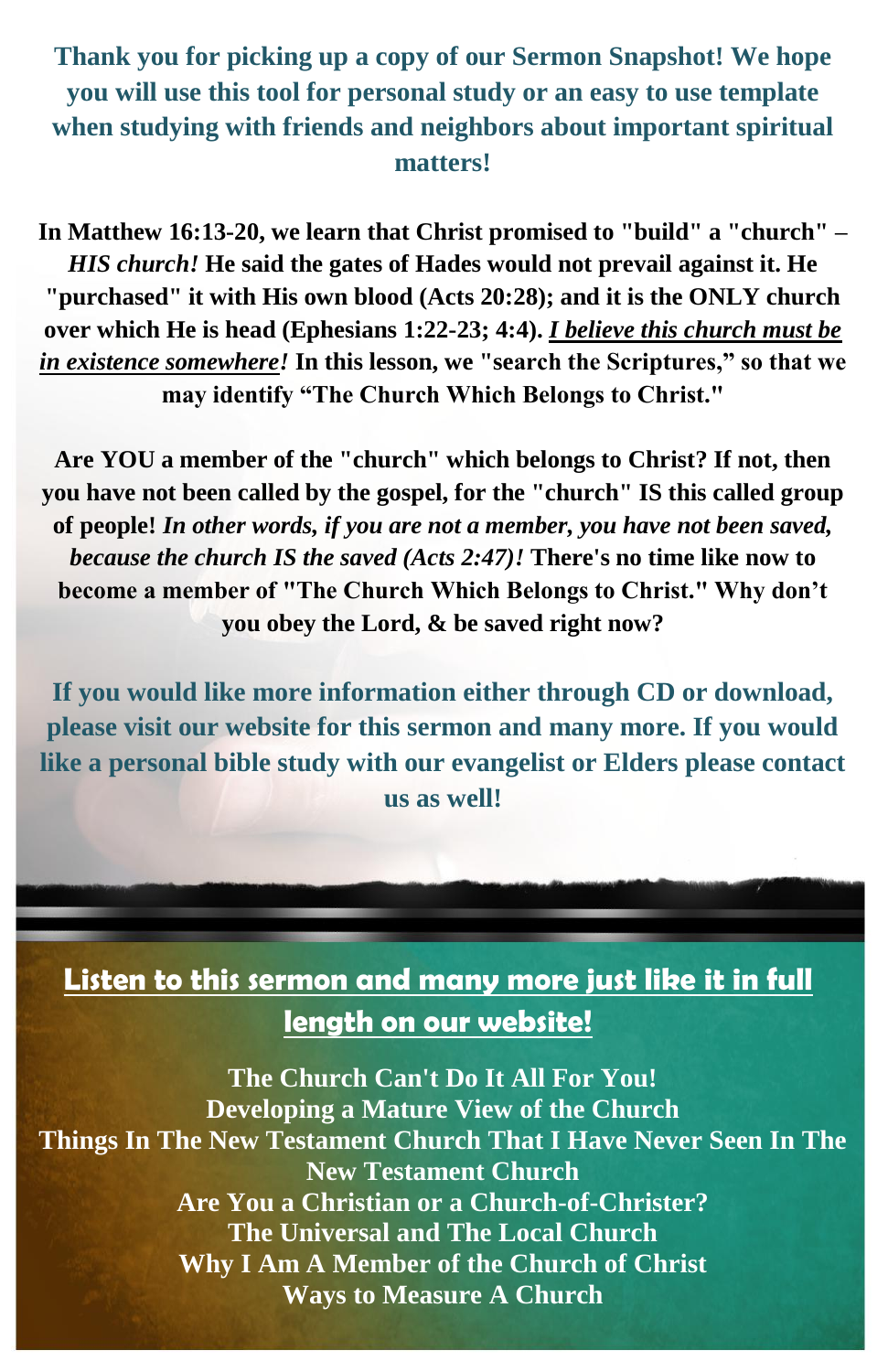#### **Thank you for picking up a copy of our Sermon Snapshot! We hope you will use this tool for personal study or an easy to use template when studying with friends and neighbors about important spiritual matters!**

**In Matthew 16:13-20, we learn that Christ promised to "build" a "church"** *– HIS church!* **He said the gates of Hades would not prevail against it. He "purchased" it with His own blood (Acts 20:28); and it is the ONLY church over which He is head (Ephesians 1:22-23; 4:4).** *I believe this church must be in existence somewhere!* **In this lesson, we "search the Scriptures," so that we may identify "The Church Which Belongs to Christ."**

**Are YOU a member of the "church" which belongs to Christ? If not, then you have not been called by the gospel, for the "church" IS this called group of people!** *In other words, if you are not a member, you have not been saved, because the church IS the saved (Acts 2:47)!* **There's no time like now to become a member of "The Church Which Belongs to Christ." Why don't you obey the Lord, & be saved right now?**

**If you would like more information either through CD or download, please visit our website for this sermon and many more. If you would like a personal bible study with our evangelist or Elders please contact us as well!**

#### **Listen to this sermon and many more just like it in full length on our website!**

**The Church Can't Do It All For You! Developing a Mature View of the Church Things In The New Testament Church That I Have Never Seen In The New Testament Church Are You a Christian or a Church-of-Christer? The Universal and The Local Church Why I Am A Member of the Church of Christ Ways to Measure A Church**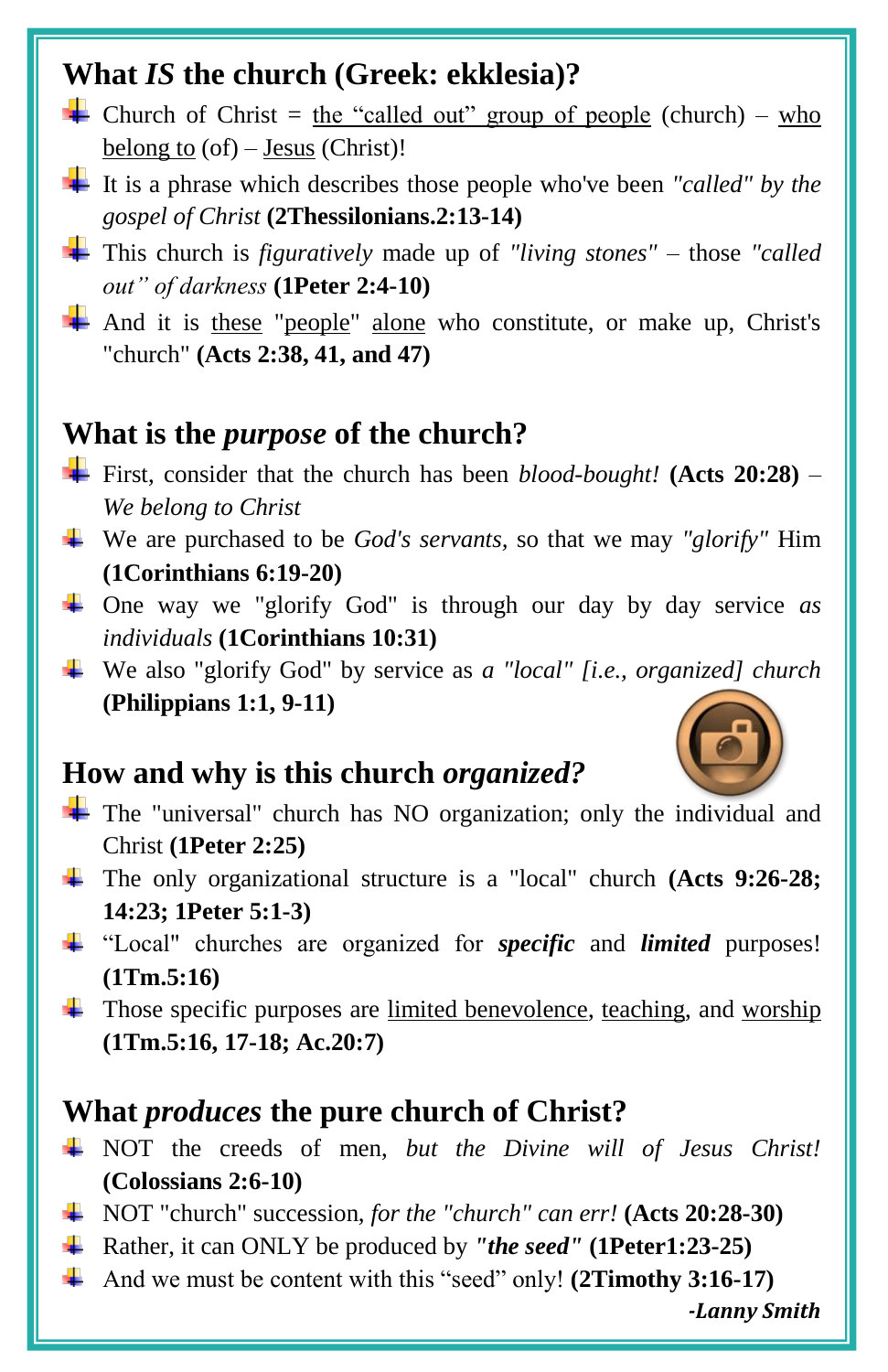#### **What** *IS* **the church (Greek: ekklesia)?**

- **Church** of Christ = <u>the "called out" group of people</u> (church) who belong to  $(of)$  – Jesus (Christ)!
- It is a phrase which describes those people who've been *"called" by the gospel of Christ* **(2Thessilonians.2:13-14)**
- This church is *figuratively* made up of *"living stones"* those *"called out" of darkness* **(1Peter 2:4-10)**
- And it is these "people" alone who constitute, or make up, Christ's "church" **(Acts 2:38, 41, and 47)**

#### **What is the** *purpose* **of the church?**

- First, consider that the church has been *blood-bought!* **(Acts 20:28)** *– We belong to Christ*
- We are purchased to be *God's servants,* so that we may *"glorify"* Him **(1Corinthians 6:19-20)**
- One way we "glorify God" is through our day by day service *as individuals* **(1Corinthians 10:31)**
- We also "glorify God" by service as *a "local" [i.e., organized] church* **(Philippians 1:1, 9-11)**

#### **How and why is this church** *organized?*

- The "universal" church has NO organization; only the individual and Christ **(1Peter 2:25)**
- The only organizational structure is a "local" church **(Acts 9:26-28; 14:23; 1Peter 5:1-3)**
- "Local" churches are organized for *specific* and *limited* purposes! **(1Tm.5:16)**
- $\overline{\text{1}}$  Those specific purposes are limited benevolence, teaching, and worship **(1Tm.5:16, 17-18; Ac.20:7)**

#### **What** *produces* **the pure church of Christ?**

- NOT the creeds of men, *but the Divine will of Jesus Christ!* **(Colossians 2:6-10)**
- NOT "church" succession, *for the "church" can err!* **(Acts 20:28-30)**
- Rather, it can ONLY be produced by *"the seed"* **(1Peter1:23-25)**
- And we must be content with this "seed" only! **(2Timothy 3:16-17)**

*-Lanny Smith*